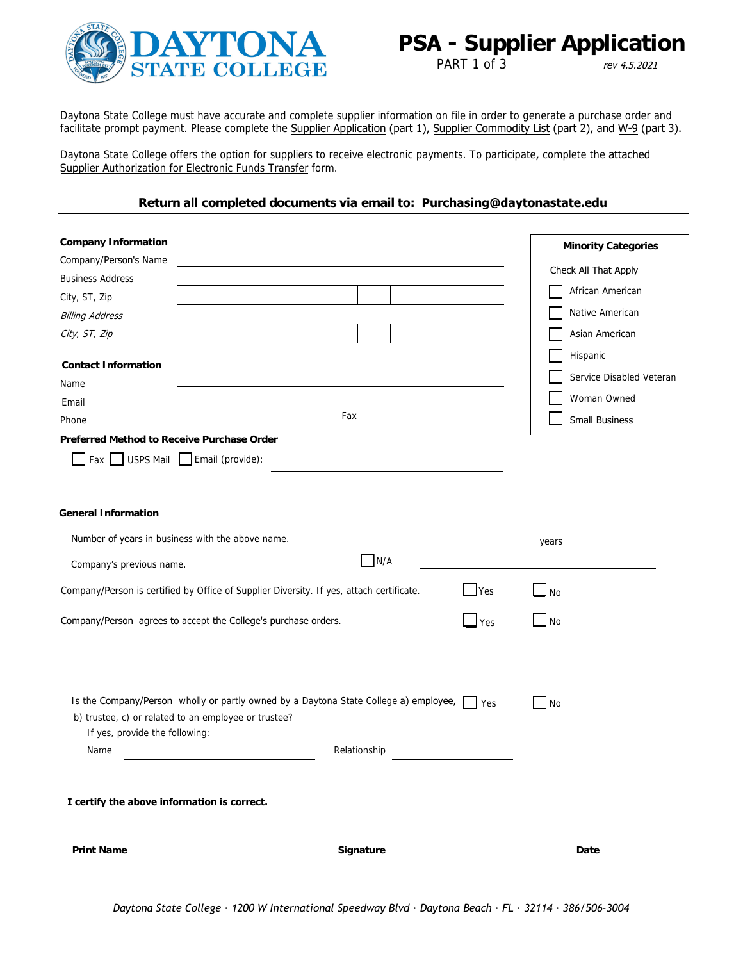

PART 1 of 3 rev 4.5.2021

Daytona State College must have accurate and complete supplier information on file in order to generate a purchase order and facilitate prompt payment. Please complete the Supplier Application (part 1), Supplier Commodity List (part 2), and W-9 (part 3).

Daytona State College offers the option for suppliers to receive electronic payments. To participate, complete the attached Supplier Authorization for Electronic Funds Transfer form.

#### **Return all completed documents via email to: Purchasing@daytonastate.edu**

| <b>Company Information</b>                                                               |              |                              |           | <b>Minority Categories</b> |
|------------------------------------------------------------------------------------------|--------------|------------------------------|-----------|----------------------------|
| Company/Person's Name                                                                    |              |                              |           |                            |
| <b>Business Address</b>                                                                  |              |                              |           | Check All That Apply       |
| City, ST, Zip                                                                            |              |                              |           | African American           |
| <b>Billing Address</b>                                                                   |              |                              |           | Native American            |
| City, ST, Zip                                                                            |              |                              |           | Asian American             |
| <b>Contact Information</b>                                                               |              |                              |           | Hispanic                   |
| Name                                                                                     |              |                              |           | Service Disabled Veteran   |
| Email                                                                                    |              |                              |           | Woman Owned                |
| Fax<br>Phone                                                                             |              |                              |           | <b>Small Business</b>      |
| Preferred Method to Receive Purchase Order                                               |              |                              |           |                            |
| Fax USPS Mail Email (provide):                                                           |              |                              |           |                            |
| <b>General Information</b>                                                               |              |                              |           |                            |
| Number of years in business with the above name.                                         |              |                              | years     |                            |
| Company's previous name.                                                                 | N/A          |                              |           |                            |
| Company/Person is certified by Office of Supplier Diversity. If yes, attach certificate. |              | <b>Yes</b>                   | <b>No</b> |                            |
| Company/Person agrees to accept the College's purchase orders.                           |              | $\mathsf{\underline{J}}$ Yes | No        |                            |
| Is the Company/Person wholly or partly owned by a Daytona State College a) employee,     |              | Yes                          | No        |                            |
| b) trustee, c) or related to an employee or trustee?                                     |              |                              |           |                            |
| If yes, provide the following:                                                           | Relationship |                              |           |                            |
| Name                                                                                     |              |                              |           |                            |
| I certify the above information is correct.                                              |              |                              |           |                            |
| <b>Print Name</b>                                                                        | Signature    |                              |           | Date                       |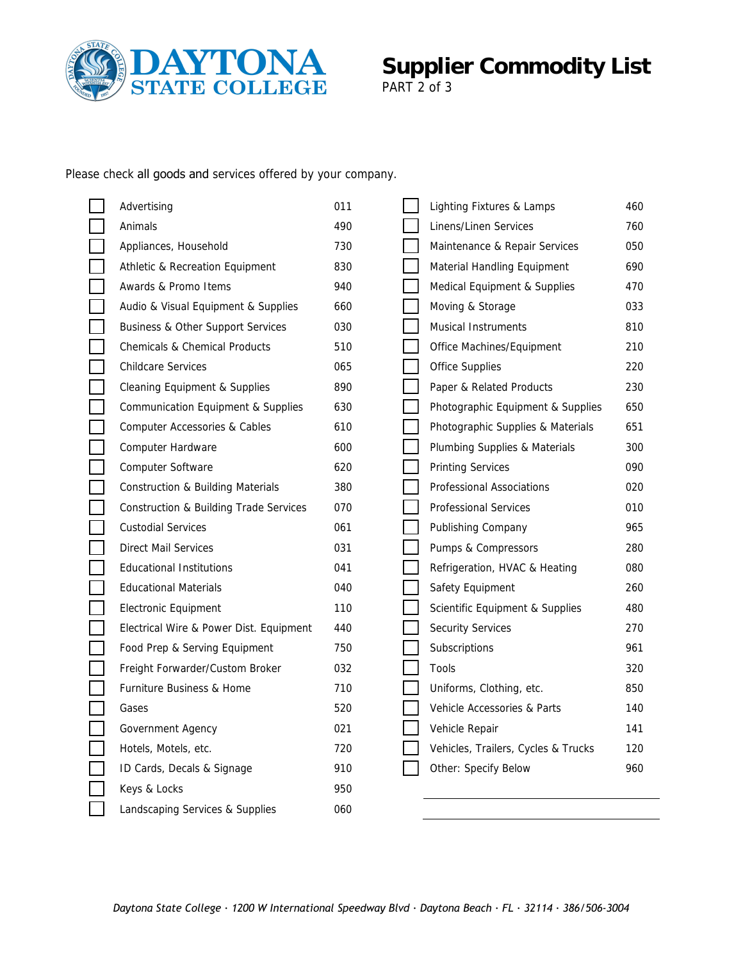

# **Supplier Commodity List**

PART 2 of 3

Please check all goods and services offered by your company.

| Advertising                                       | 011 | Lighting Fixtures & Lamps           | 460 |
|---------------------------------------------------|-----|-------------------------------------|-----|
| Animals                                           | 490 | Linens/Linen Services               | 760 |
| Appliances, Household                             | 730 | Maintenance & Repair Services       | 050 |
| Athletic & Recreation Equipment                   | 830 | Material Handling Equipment         | 690 |
| Awards & Promo Items                              | 940 | Medical Equipment & Supplies        | 470 |
| Audio & Visual Equipment & Supplies               | 660 | Moving & Storage                    | 033 |
| <b>Business &amp; Other Support Services</b>      | 030 | Musical Instruments                 | 810 |
| Chemicals & Chemical Products                     | 510 | Office Machines/Equipment           | 210 |
| <b>Childcare Services</b>                         | 065 | <b>Office Supplies</b>              | 220 |
| Cleaning Equipment & Supplies                     | 890 | Paper & Related Products            | 230 |
| Communication Equipment & Supplies                | 630 | Photographic Equipment & Supplies   | 650 |
| Computer Accessories & Cables                     | 610 | Photographic Supplies & Materials   | 651 |
| Computer Hardware                                 | 600 | Plumbing Supplies & Materials       | 300 |
| Computer Software                                 | 620 | <b>Printing Services</b>            | 090 |
| <b>Construction &amp; Building Materials</b>      | 380 | Professional Associations           | 020 |
| <b>Construction &amp; Building Trade Services</b> | 070 | <b>Professional Services</b>        | 010 |
| <b>Custodial Services</b>                         | 061 | Publishing Company                  | 965 |
| Direct Mail Services                              | 031 | Pumps & Compressors                 | 280 |
| <b>Educational Institutions</b>                   | 041 | Refrigeration, HVAC & Heating       | 080 |
| <b>Educational Materials</b>                      | 040 | Safety Equipment                    | 260 |
| Electronic Equipment                              | 110 | Scientific Equipment & Supplies     | 480 |
| Electrical Wire & Power Dist. Equipment           | 440 | <b>Security Services</b>            | 270 |
| Food Prep & Serving Equipment                     | 750 | Subscriptions                       | 961 |
| Freight Forwarder/Custom Broker                   | 032 | Tools                               | 320 |
| Furniture Business & Home                         | 710 | Uniforms, Clothing, etc.            | 850 |
| Gases                                             | 520 | Vehicle Accessories & Parts         | 140 |
| Government Agency                                 | 021 | Vehicle Repair                      | 141 |
| Hotels, Motels, etc.                              | 720 | Vehicles, Trailers, Cycles & Trucks | 120 |
| ID Cards, Decals & Signage                        | 910 | Other: Specify Below                | 960 |
| Keys & Locks                                      | 950 |                                     |     |
| Landscaping Services & Supplies                   | 060 |                                     |     |